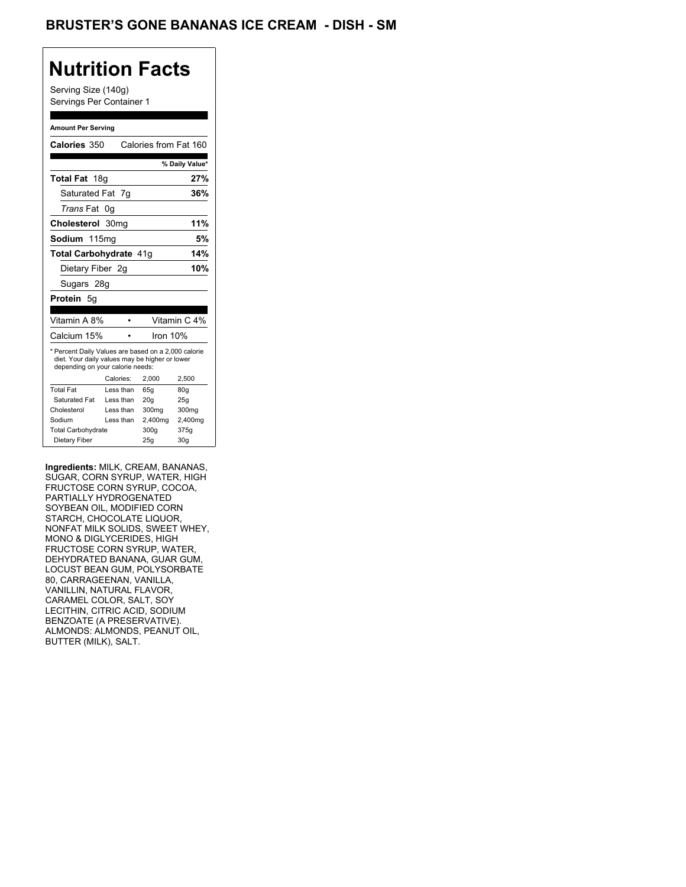## **Nutrition Facts**

Serving Size (140g) Servings Per Container 1

#### **Amount Per Serving**

| Calories 350                                                                                                                              |           | Calories from Fat 160 |                |
|-------------------------------------------------------------------------------------------------------------------------------------------|-----------|-----------------------|----------------|
|                                                                                                                                           |           |                       | % Daily Value* |
| <b>Total Fat</b> 18g                                                                                                                      |           |                       | 27%            |
| Saturated Fat 7g                                                                                                                          |           |                       | 36%            |
| Trans Fat 0g                                                                                                                              |           |                       |                |
| Cholesterol 30mg                                                                                                                          |           |                       | 11%            |
| Sodium 115ma                                                                                                                              |           |                       | 5%             |
| Total Carbohydrate 41q                                                                                                                    |           |                       | 14%            |
| Dietary Fiber 2q                                                                                                                          |           |                       | 10%            |
| Sugars 28g                                                                                                                                |           |                       |                |
| Protein 5q                                                                                                                                |           |                       |                |
|                                                                                                                                           |           |                       |                |
| Vitamin A 8%                                                                                                                              |           |                       | Vitamin C 4%   |
| Calcium 15%                                                                                                                               |           | Iron 10%              |                |
| * Percent Daily Values are based on a 2,000 calorie<br>diet. Your daily values may be higher or lower<br>depending on your calorie needs: |           |                       |                |
|                                                                                                                                           | Calories: | 2,000                 | 2,500          |
| <b>Total Fat</b>                                                                                                                          | Less than | 65q                   | 80q            |
| Saturated Fat                                                                                                                             | Less than | 20q                   | 25q            |
| Cholesterol                                                                                                                               | Less than | 300 <sub>mq</sub>     | 300mg          |
| Sodium                                                                                                                                    | Less than | 2,400mg               | 2,400mg        |
|                                                                                                                                           |           |                       |                |
| <b>Total Carbohydrate</b>                                                                                                                 |           | 300q                  | 375g           |

**Ingredients:** MILK, CREAM, BANANAS, SUGAR, CORN SYRUP, WATER, HIGH FRUCTOSE CORN SYRUP, COCOA, PARTIALLY HYDROGENATED SOYBEAN OIL, MODIFIED CORN STARCH, CHOCOLATE LIQUOR, NONFAT MILK SOLIDS, SWEET WHEY, MONO & DIGLYCERIDES, HIGH FRUCTOSE CORN SYRUP, WATER, DEHYDRATED BANANA, GUAR GUM, LOCUST BEAN GUM, POLYSORBATE 80, CARRAGEENAN, VANILLA, VANILLIN, NATURAL FLAVOR, CARAMEL COLOR, SALT, SOY LECITHIN, CITRIC ACID, SODIUM BENZOATE (A PRESERVATIVE). ALMONDS: ALMONDS, PEANUT OIL, BUTTER (MILK), SALT.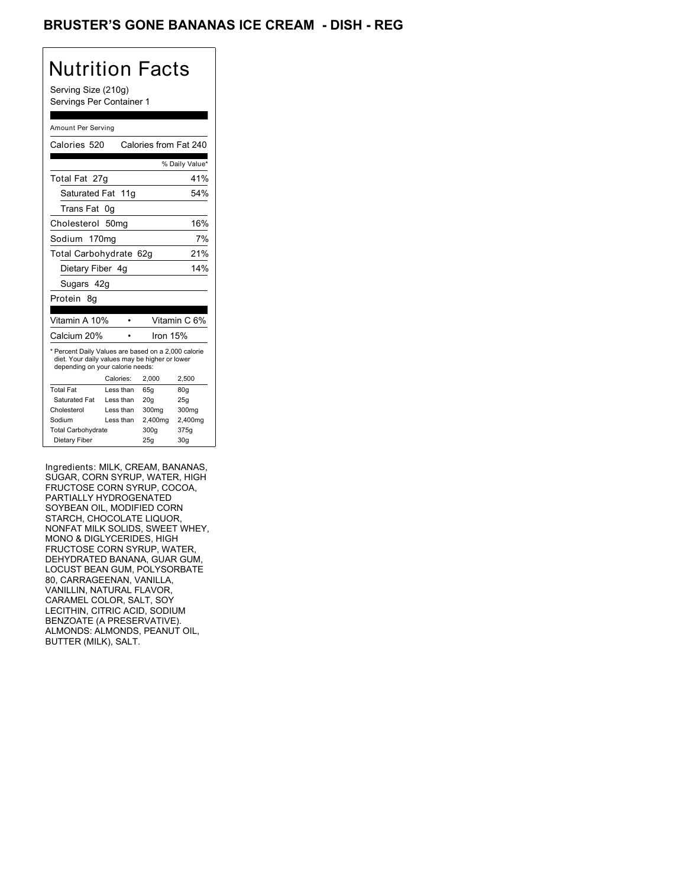## BRUSTER'S GONE BANANAS ICE CREAM - DISH - REG

## Nutrition Facts

Serving Size (210g) Servings Per Container 1

#### Amount Per Serving

| Calories 520                                                                                                                              |                  | Calories from Fat 240 |                |
|-------------------------------------------------------------------------------------------------------------------------------------------|------------------|-----------------------|----------------|
|                                                                                                                                           |                  |                       | % Daily Value* |
| Total Fat 27g                                                                                                                             |                  |                       | 41%            |
| Saturated Fat 11g                                                                                                                         |                  |                       | 54%            |
| Trans Fat                                                                                                                                 | 0g               |                       |                |
| Cholesterol                                                                                                                               | 50 <sub>mq</sub> |                       | 16%            |
| Sodium 170mg                                                                                                                              |                  |                       | 7%             |
| Total Carbohydrate 62g                                                                                                                    |                  |                       | 21%            |
| Dietary Fiber 4g                                                                                                                          |                  |                       | 14%            |
| Sugars 42g                                                                                                                                |                  |                       |                |
| Protein<br>8α                                                                                                                             |                  |                       |                |
|                                                                                                                                           |                  |                       |                |
|                                                                                                                                           |                  |                       |                |
| Vitamin A 10%                                                                                                                             |                  |                       | Vitamin C 6%   |
| Calcium 20%                                                                                                                               |                  | Iron 15%              |                |
| * Percent Daily Values are based on a 2,000 calorie<br>diet. Your daily values may be higher or lower<br>depending on your calorie needs: |                  |                       |                |
|                                                                                                                                           | Calories:        | 2,000                 | 2.500          |
| <b>Total Fat</b>                                                                                                                          | Less than        | 65g                   | 80q            |
| Saturated Fat                                                                                                                             | Less than        | 20 <sub>q</sub>       | 25q            |
| Cholesterol                                                                                                                               | Less than        | 300 <sub>mg</sub>     | 300mg          |
| Sodium                                                                                                                                    | Less than        | 2,400mg               | 2,400mg        |
| <b>Total Carbohydrate</b>                                                                                                                 |                  | 300g                  | 375g           |

Ingredients: MILK, CREAM, BANANAS, SUGAR, CORN SYRUP, WATER, HIGH FRUCTOSE CORN SYRUP, COCOA, PARTIALLY HYDROGENATED SOYBEAN OIL, MODIFIED CORN STARCH, CHOCOLATE LIQUOR, NONFAT MILK SOLIDS, SWEET WHEY, MONO & DIGLYCERIDES, HIGH FRUCTOSE CORN SYRUP, WATER, DEHYDRATED BANANA, GUAR GUM, LOCUST BEAN GUM, POLYSORBATE 80, CARRAGEENAN, VANILLA, VANILLIN, NATURAL FLAVOR, CARAMEL COLOR, SALT, SOY LECITHIN, CITRIC ACID, SODIUM BENZOATE (A PRESERVATIVE). ALMONDS: ALMONDS, PEANUT OIL, BUTTER (MILK), SALT.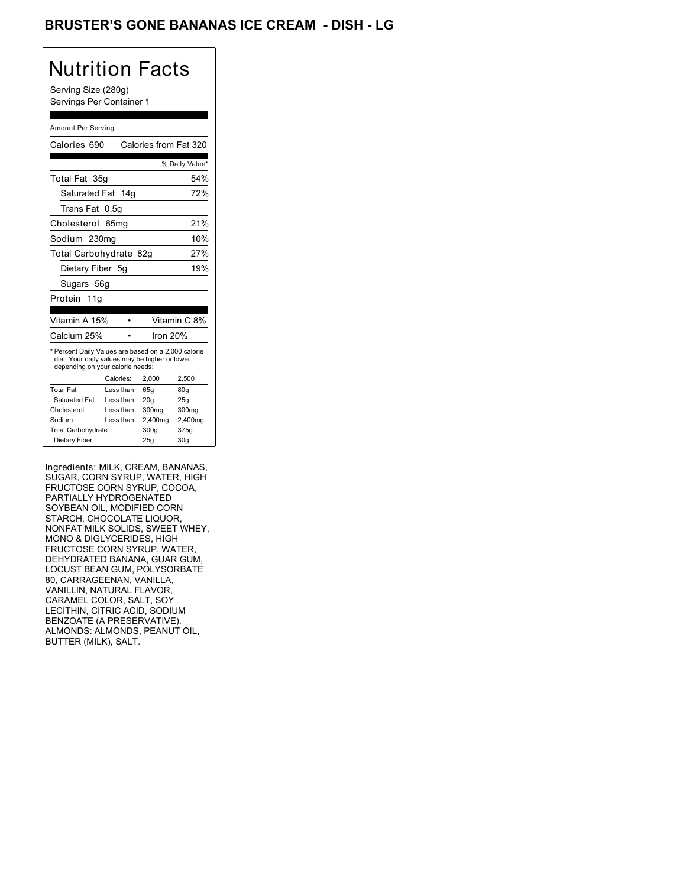## BRUSTER'S GONE BANANAS ICE CREAM - DISH - LG

## Nutrition Facts

Serving Size (280g) Servings Per Container 1

#### Amount Per Serving

| Calories 690                                                                                                                              |            | Calories from Fat 320 |                |
|-------------------------------------------------------------------------------------------------------------------------------------------|------------|-----------------------|----------------|
|                                                                                                                                           |            |                       | % Daily Value* |
| Total Fat 35g                                                                                                                             |            |                       | 54%            |
| Saturated Fat 14g                                                                                                                         |            |                       | 72%            |
| Trans Fat                                                                                                                                 | 0.5g       |                       |                |
| Cholesterol 65mg                                                                                                                          |            |                       | 21%            |
| Sodium 230mg                                                                                                                              |            |                       | 10%            |
| Total Carbohydrate 82g                                                                                                                    |            |                       | 27%            |
| Dietary Fiber 5q                                                                                                                          |            |                       | 19%            |
| Sugars 56g                                                                                                                                |            |                       |                |
| Protein 11g                                                                                                                               |            |                       |                |
|                                                                                                                                           |            |                       |                |
| Vitamin A 15%                                                                                                                             |            |                       | Vitamin C 8%   |
| Calcium 25%                                                                                                                               |            | Iron 20%              |                |
| * Percent Daily Values are based on a 2,000 calorie<br>diet. Your daily values may be higher or lower<br>depending on your calorie needs: |            |                       |                |
|                                                                                                                                           | Calories:  | 2.000                 | 2,500          |
| <b>Total Fat</b>                                                                                                                          | Less than  | 65q                   | 80q            |
| Saturated Fat                                                                                                                             | Less than  | 20q                   | 25g            |
| Cholesterol                                                                                                                               | I ess than | 300mg                 | 300mg          |
|                                                                                                                                           |            |                       |                |
| Sodium                                                                                                                                    | Less than  | 2,400mg               | 2,400mg        |
| <b>Total Carbohydrate</b>                                                                                                                 |            | 300g                  | 375g           |

Ingredients: MILK, CREAM, BANANAS, SUGAR, CORN SYRUP, WATER, HIGH FRUCTOSE CORN SYRUP, COCOA, PARTIALLY HYDROGENATED SOYBEAN OIL, MODIFIED CORN STARCH, CHOCOLATE LIQUOR, NONFAT MILK SOLIDS, SWEET WHEY, MONO & DIGLYCERIDES, HIGH FRUCTOSE CORN SYRUP, WATER, DEHYDRATED BANANA, GUAR GUM, LOCUST BEAN GUM, POLYSORBATE 80, CARRAGEENAN, VANILLA, VANILLIN, NATURAL FLAVOR, CARAMEL COLOR, SALT, SOY LECITHIN, CITRIC ACID, SODIUM BENZOATE (A PRESERVATIVE). ALMONDS: ALMONDS, PEANUT OIL, BUTTER (MILK), SALT.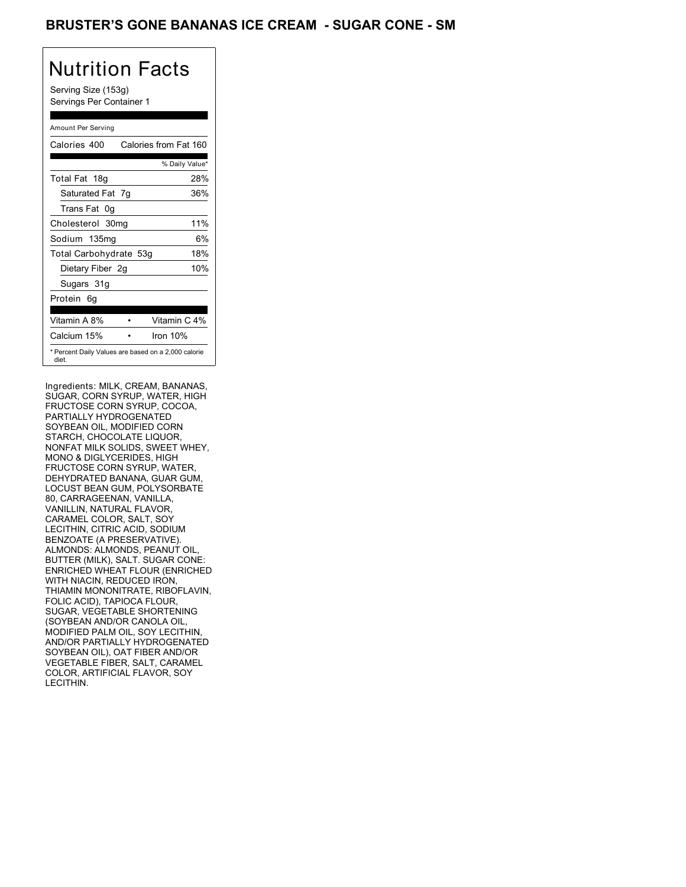### BRUSTER'S GONE BANANAS ICE CREAM - SUGAR CONE - SM

# Nutrition Facts

Serving Size (153g) Servings Per Container 1

#### Amount Per Serving

| Calories 400                                                 |  | Calories from Fat 160 |     |
|--------------------------------------------------------------|--|-----------------------|-----|
|                                                              |  | % Daily Value*        |     |
| Total Fat 18g                                                |  |                       | 28% |
| Saturated Fat 7g                                             |  |                       | 36% |
| Trans Fat 0q                                                 |  |                       |     |
| Cholesterol 30mg                                             |  |                       | 11% |
| Sodium 135mg                                                 |  |                       | 6%  |
| Total Carbohydrate 53g                                       |  |                       | 18% |
| Dietary Fiber 2g                                             |  |                       | 10% |
| Sugars 31g                                                   |  |                       |     |
| Protein 6q                                                   |  |                       |     |
|                                                              |  |                       |     |
| Vitamin A 8%                                                 |  | Vitamin C 4%          |     |
| Calcium 15%                                                  |  | Iron $10%$            |     |
| * Percent Daily Values are based on a 2,000 calorie<br>diet. |  |                       |     |

Ingredients: MILK, CREAM, BANANAS, SUGAR, CORN SYRUP, WATER, HIGH FRUCTOSE CORN SYRUP, COCOA, PARTIALLY HYDROGENATED SOYBEAN OIL, MODIFIED CORN STARCH, CHOCOLATE LIQUOR, NONFAT MILK SOLIDS, SWEET WHEY, MONO & DIGLYCERIDES, HIGH FRUCTOSE CORN SYRUP, WATER, DEHYDRATED BANANA, GUAR GUM, LOCUST BEAN GUM, POLYSORBATE 80, CARRAGEENAN, VANILLA, VANILLIN, NATURAL FLAVOR, CARAMEL COLOR, SALT, SOY LECITHIN, CITRIC ACID, SODIUM BENZOATE (A PRESERVATIVE). ALMONDS: ALMONDS, PEANUT OIL, BUTTER (MILK), SALT. SUGAR CONE: ENRICHED WHEAT FLOUR (ENRICHED WITH NIACIN, REDUCED IRON, THIAMIN MONONITRATE, RIBOFLAVIN, FOLIC ACID), TAPIOCA FLOUR, SUGAR, VEGETABLE SHORTENING (SOYBEAN AND/OR CANOLA OIL, MODIFIED PALM OIL, SOY LECITHIN, AND/OR PARTIALLY HYDROGENATED SOYBEAN OIL), OAT FIBER AND/OR VEGETABLE FIBER, SALT, CARAMEL COLOR, ARTIFICIAL FLAVOR, SOY LECITHIN.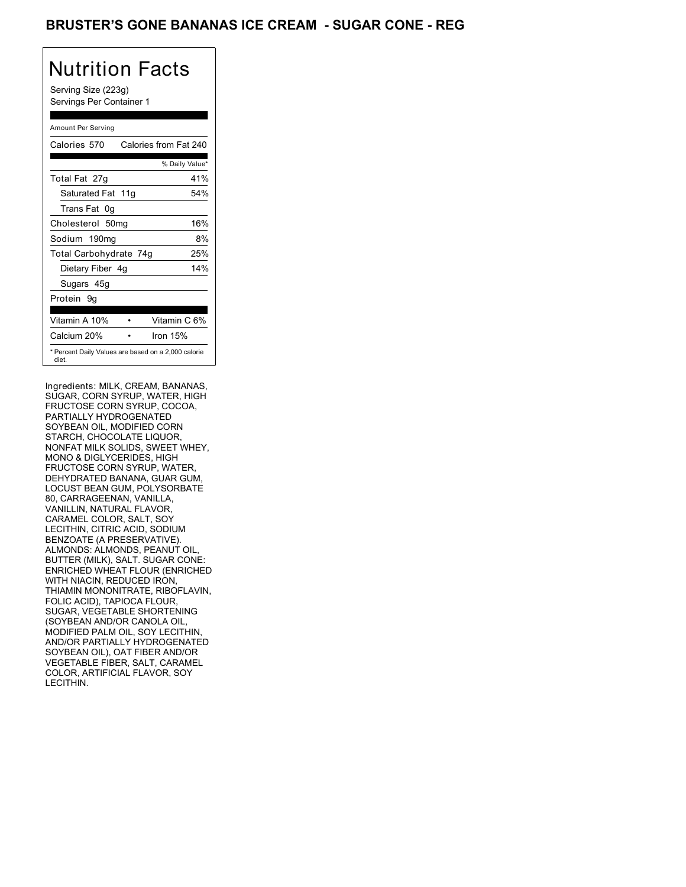## BRUSTER'S GONE BANANAS ICE CREAM - SUGAR CONE - REG

## Nutrition Facts

Serving Size (223g) Servings Per Container 1

#### Amount Per Serving

| Calories 570           | Calories from Fat 240                               |
|------------------------|-----------------------------------------------------|
|                        | % Daily Value*                                      |
| Total Fat 27g          | 41%                                                 |
| Saturated Fat 11g      | 54%                                                 |
| Trans Fat 0g           |                                                     |
| Cholesterol 50mg       | 16%                                                 |
| Sodium 190mg           | 8%                                                  |
| Total Carbohydrate 74g | 25%                                                 |
| Dietary Fiber 4g       | 14%                                                 |
| Sugars 45g             |                                                     |
| Protein 9q             |                                                     |
| Vitamin A 10%          | Vitamin C 6%                                        |
| Calcium 20%            | Iron 15%                                            |
| diet.                  | * Percent Daily Values are based on a 2,000 calorie |

Ingredients: MILK, CREAM, BANANAS, SUGAR, CORN SYRUP, WATER, HIGH FRUCTOSE CORN SYRUP, COCOA, PARTIALLY HYDROGENATED SOYBEAN OIL, MODIFIED CORN STARCH, CHOCOLATE LIQUOR, NONFAT MILK SOLIDS, SWEET WHEY, MONO & DIGLYCERIDES, HIGH FRUCTOSE CORN SYRUP, WATER, DEHYDRATED BANANA, GUAR GUM, LOCUST BEAN GUM, POLYSORBATE 80, CARRAGEENAN, VANILLA, VANILLIN, NATURAL FLAVOR, CARAMEL COLOR, SALT, SOY LECITHIN, CITRIC ACID, SODIUM BENZOATE (A PRESERVATIVE). ALMONDS: ALMONDS, PEANUT OIL, BUTTER (MILK), SALT. SUGAR CONE: ENRICHED WHEAT FLOUR (ENRICHED WITH NIACIN, REDUCED IRON, THIAMIN MONONITRATE, RIBOFLAVIN, FOLIC ACID), TAPIOCA FLOUR, SUGAR, VEGETABLE SHORTENING (SOYBEAN AND/OR CANOLA OIL, MODIFIED PALM OIL, SOY LECITHIN, AND/OR PARTIALLY HYDROGENATED SOYBEAN OIL), OAT FIBER AND/OR VEGETABLE FIBER, SALT, CARAMEL COLOR, ARTIFICIAL FLAVOR, SOY LECITHIN.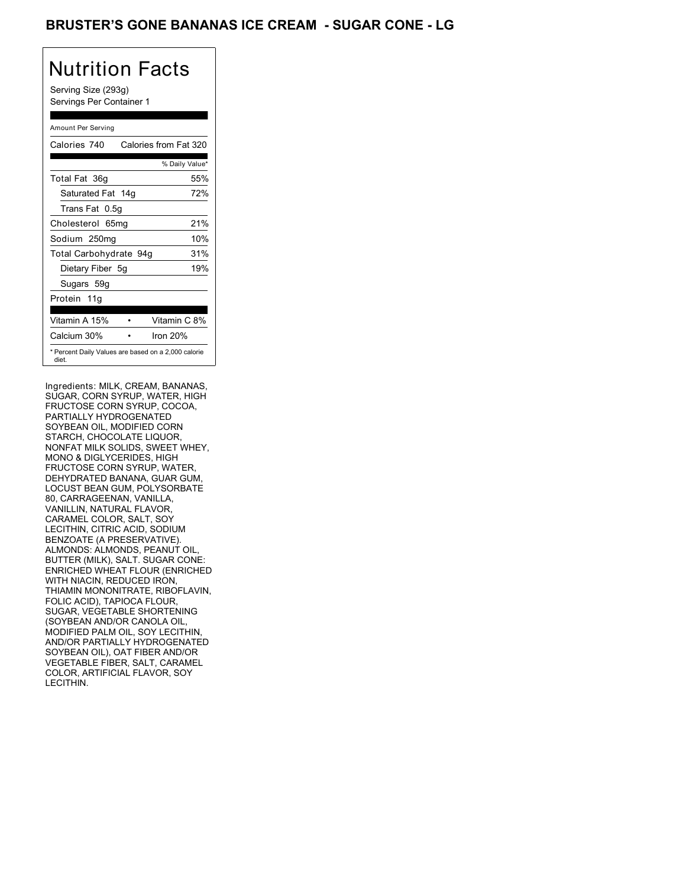## BRUSTER'S GONE BANANAS ICE CREAM - SUGAR CONE - LG

## Nutrition Facts

Serving Size (293g) Servings Per Container 1

#### Amount Per Serving

| Calories 740           | Calories from Fat 320                               |
|------------------------|-----------------------------------------------------|
|                        | % Daily Value*                                      |
| Total Fat 36g          | 55%                                                 |
| Saturated Fat 14g      | 72%                                                 |
| Trans Fat 0.5q         |                                                     |
| Cholesterol 65mg       | 21%                                                 |
| Sodium 250mg           | 10%                                                 |
| Total Carbohydrate 94g | 31%                                                 |
| Dietary Fiber 5g       | 19%                                                 |
| Sugars 59g             |                                                     |
| Protein 11g            |                                                     |
|                        |                                                     |
| Vitamin A 15%          | Vitamin C 8%                                        |
| Calcium 30%            | Iron 20%                                            |
| diet.                  | * Percent Daily Values are based on a 2,000 calorie |

Ingredients: MILK, CREAM, BANANAS, SUGAR, CORN SYRUP, WATER, HIGH FRUCTOSE CORN SYRUP, COCOA, PARTIALLY HYDROGENATED SOYBEAN OIL, MODIFIED CORN STARCH, CHOCOLATE LIQUOR, NONFAT MILK SOLIDS, SWEET WHEY, MONO & DIGLYCERIDES, HIGH FRUCTOSE CORN SYRUP, WATER, DEHYDRATED BANANA, GUAR GUM, LOCUST BEAN GUM, POLYSORBATE 80, CARRAGEENAN, VANILLA, VANILLIN, NATURAL FLAVOR, CARAMEL COLOR, SALT, SOY LECITHIN, CITRIC ACID, SODIUM BENZOATE (A PRESERVATIVE). ALMONDS: ALMONDS, PEANUT OIL, BUTTER (MILK), SALT. SUGAR CONE: ENRICHED WHEAT FLOUR (ENRICHED WITH NIACIN, REDUCED IRON, THIAMIN MONONITRATE, RIBOFLAVIN, FOLIC ACID), TAPIOCA FLOUR, SUGAR, VEGETABLE SHORTENING (SOYBEAN AND/OR CANOLA OIL, MODIFIED PALM OIL, SOY LECITHIN, AND/OR PARTIALLY HYDROGENATED SOYBEAN OIL), OAT FIBER AND/OR VEGETABLE FIBER, SALT, CARAMEL COLOR, ARTIFICIAL FLAVOR, SOY LECITHIN.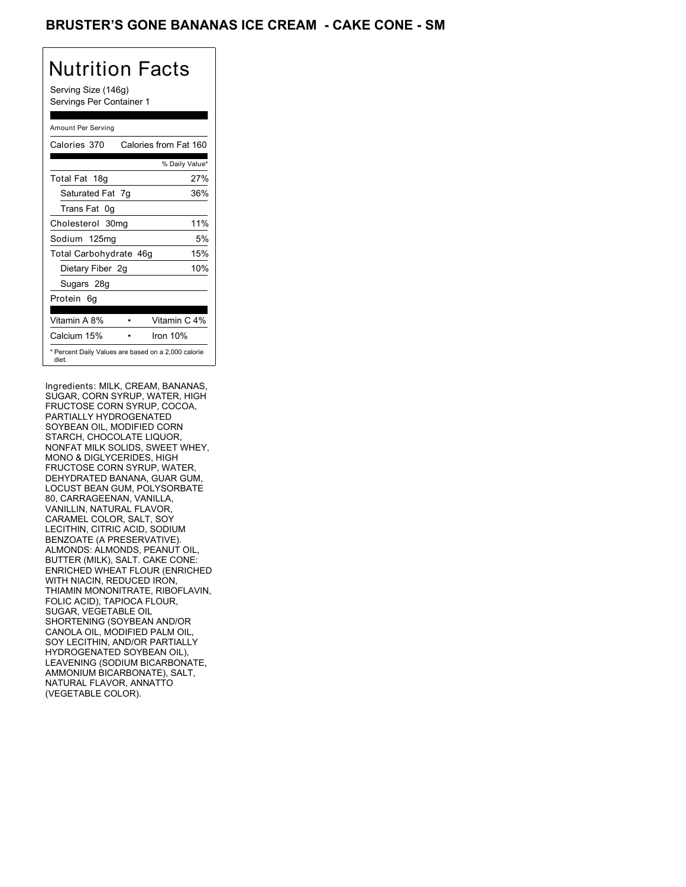## BRUSTER'S GONE BANANAS ICE CREAM **- CAKE CONE - SM**

## Nutrition Facts

Serving Size (146g) Servings Per Container 1

#### Amount Per Serving

| Calories 370           | Calories from Fat 160                               |
|------------------------|-----------------------------------------------------|
|                        | % Daily Value*                                      |
| Total Fat 18g          | 27%                                                 |
| Saturated Fat 7g       | 36%                                                 |
| Trans Fat 0q           |                                                     |
| Cholesterol 30mg       | 11%                                                 |
| Sodium 125mg           | 5%                                                  |
| Total Carbohydrate 46g | 15%                                                 |
| Dietary Fiber 2g       | 10%                                                 |
| Sugars 28g             |                                                     |
| Protein 6q             |                                                     |
|                        |                                                     |
| Vitamin A 8%           | Vitamin C 4%                                        |
| Calcium 15%            | Iron $10%$                                          |
| diet.                  | * Percent Daily Values are based on a 2,000 calorie |

Ingredients: MILK, CREAM, BANANAS, SUGAR, CORN SYRUP, WATER, HIGH FRUCTOSE CORN SYRUP, COCOA, PARTIALLY HYDROGENATED SOYBEAN OIL, MODIFIED CORN STARCH, CHOCOLATE LIQUOR, NONFAT MILK SOLIDS, SWEET WHEY, MONO & DIGLYCERIDES, HIGH FRUCTOSE CORN SYRUP, WATER, DEHYDRATED BANANA, GUAR GUM, LOCUST BEAN GUM, POLYSORBATE 80, CARRAGEENAN, VANILLA, VANILLIN, NATURAL FLAVOR, CARAMEL COLOR, SALT, SOY LECITHIN, CITRIC ACID, SODIUM BENZOATE (A PRESERVATIVE). ALMONDS: ALMONDS, PEANUT OIL, BUTTER (MILK), SALT. CAKE CONE: ENRICHED WHEAT FLOUR (ENRICHED WITH NIACIN, REDUCED IRON, THIAMIN MONONITRATE, RIBOFLAVIN, FOLIC ACID), TAPIOCA FLOUR, SUGAR, VEGETABLE OIL SHORTENING (SOYBEAN AND/OR CANOLA OIL, MODIFIED PALM OIL, SOY LECITHIN, AND/OR PARTIALLY HYDROGENATED SOYBEAN OIL), LEAVENING (SODIUM BICARBONATE, AMMONIUM BICARBONATE), SALT, NATURAL FLAVOR, ANNATTO (VEGETABLE COLOR).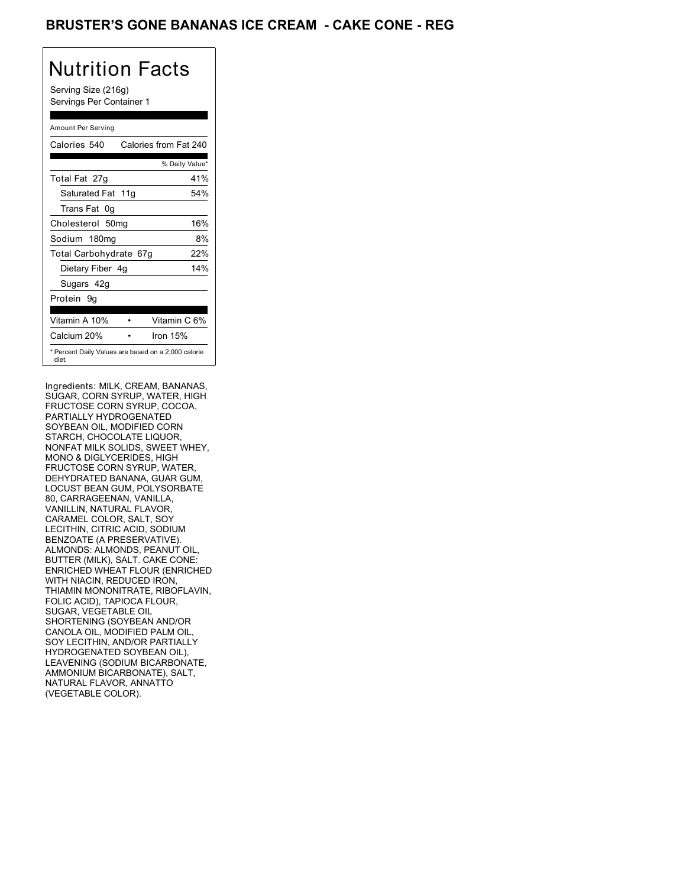## BRUSTER'S GONE BANANAS ICE CREAM **- CAKE CONE - REG**

## Nutrition Facts

Serving Size (216g) Servings Per Container 1

#### Amount Per Serving

| Calories 540           | Calories from Fat 240                               |
|------------------------|-----------------------------------------------------|
|                        | % Daily Value*                                      |
| Total Fat 27g          | 41%                                                 |
| Saturated Fat 11g      | 54%                                                 |
| Trans Fat 0q           |                                                     |
| Cholesterol 50mg       | 16%                                                 |
| Sodium 180mg           | 8%                                                  |
| Total Carbohydrate 67g | 22%                                                 |
| Dietary Fiber 4g       | 14%                                                 |
| Sugars 42g             |                                                     |
| Protein 9q             |                                                     |
| Vitamin A 10%          | Vitamin C 6%                                        |
| Calcium 20%            | Iron 15%                                            |
| diet.                  | * Percent Daily Values are based on a 2,000 calorie |

Ingredients: MILK, CREAM, BANANAS, SUGAR, CORN SYRUP, WATER, HIGH FRUCTOSE CORN SYRUP, COCOA, PARTIALLY HYDROGENATED SOYBEAN OIL, MODIFIED CORN STARCH, CHOCOLATE LIQUOR, NONFAT MILK SOLIDS, SWEET WHEY, MONO & DIGLYCERIDES, HIGH FRUCTOSE CORN SYRUP, WATER, DEHYDRATED BANANA, GUAR GUM, LOCUST BEAN GUM, POLYSORBATE 80, CARRAGEENAN, VANILLA, VANILLIN, NATURAL FLAVOR, CARAMEL COLOR, SALT, SOY LECITHIN, CITRIC ACID, SODIUM BENZOATE (A PRESERVATIVE). ALMONDS: ALMONDS, PEANUT OIL, BUTTER (MILK), SALT. CAKE CONE: ENRICHED WHEAT FLOUR (ENRICHED WITH NIACIN, REDUCED IRON, THIAMIN MONONITRATE, RIBOFLAVIN, FOLIC ACID), TAPIOCA FLOUR, SUGAR, VEGETABLE OIL SHORTENING (SOYBEAN AND/OR CANOLA OIL, MODIFIED PALM OIL, SOY LECITHIN, AND/OR PARTIALLY HYDROGENATED SOYBEAN OIL), LEAVENING (SODIUM BICARBONATE, AMMONIUM BICARBONATE), SALT, NATURAL FLAVOR, ANNATTO (VEGETABLE COLOR).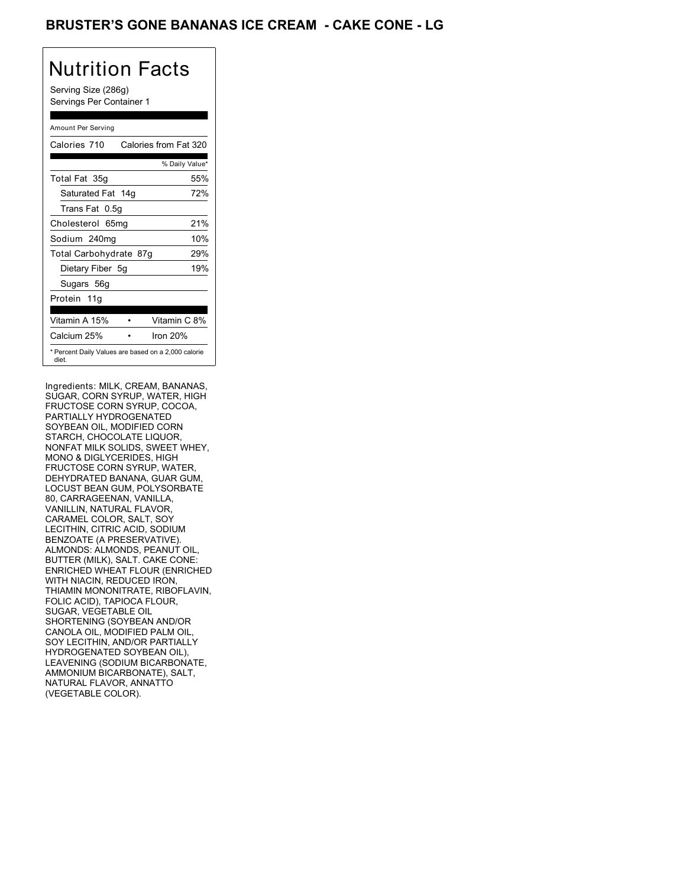## BRUSTER'S GONE BANANAS ICE CREAM - CAKE CONE - LG

## Nutrition Facts

Serving Size (286g) Servings Per Container 1

#### Amount Per Serving

| Calories 710           | Calories from Fat 320                               |
|------------------------|-----------------------------------------------------|
|                        | % Daily Value*                                      |
| Total Fat 35g          | 55%                                                 |
| Saturated Fat 14g      | 72%                                                 |
| Trans Fat 0.5q         |                                                     |
| Cholesterol 65mg       | 21%                                                 |
| Sodium 240mg           | 10%                                                 |
| Total Carbohydrate 87g | 29%                                                 |
| Dietary Fiber 5g       | 19%                                                 |
| Sugars 56g             |                                                     |
| Protein 11g            |                                                     |
|                        |                                                     |
| Vitamin A 15%          | Vitamin C 8%                                        |
| Calcium 25%            | Iron 20%                                            |
| diet.                  | * Percent Daily Values are based on a 2,000 calorie |

Ingredients: MILK, CREAM, BANANAS, SUGAR, CORN SYRUP, WATER, HIGH FRUCTOSE CORN SYRUP, COCOA, PARTIALLY HYDROGENATED SOYBEAN OIL, MODIFIED CORN STARCH, CHOCOLATE LIQUOR, NONFAT MILK SOLIDS, SWEET WHEY, MONO & DIGLYCERIDES, HIGH FRUCTOSE CORN SYRUP, WATER, DEHYDRATED BANANA, GUAR GUM, LOCUST BEAN GUM, POLYSORBATE 80, CARRAGEENAN, VANILLA, VANILLIN, NATURAL FLAVOR, CARAMEL COLOR, SALT, SOY LECITHIN, CITRIC ACID, SODIUM BENZOATE (A PRESERVATIVE). ALMONDS: ALMONDS, PEANUT OIL, BUTTER (MILK), SALT. CAKE CONE: ENRICHED WHEAT FLOUR (ENRICHED WITH NIACIN, REDUCED IRON, THIAMIN MONONITRATE, RIBOFLAVIN, FOLIC ACID), TAPIOCA FLOUR, SUGAR, VEGETABLE OIL SHORTENING (SOYBEAN AND/OR CANOLA OIL, MODIFIED PALM OIL, SOY LECITHIN, AND/OR PARTIALLY HYDROGENATED SOYBEAN OIL), LEAVENING (SODIUM BICARBONATE, AMMONIUM BICARBONATE), SALT, NATURAL FLAVOR, ANNATTO (VEGETABLE COLOR).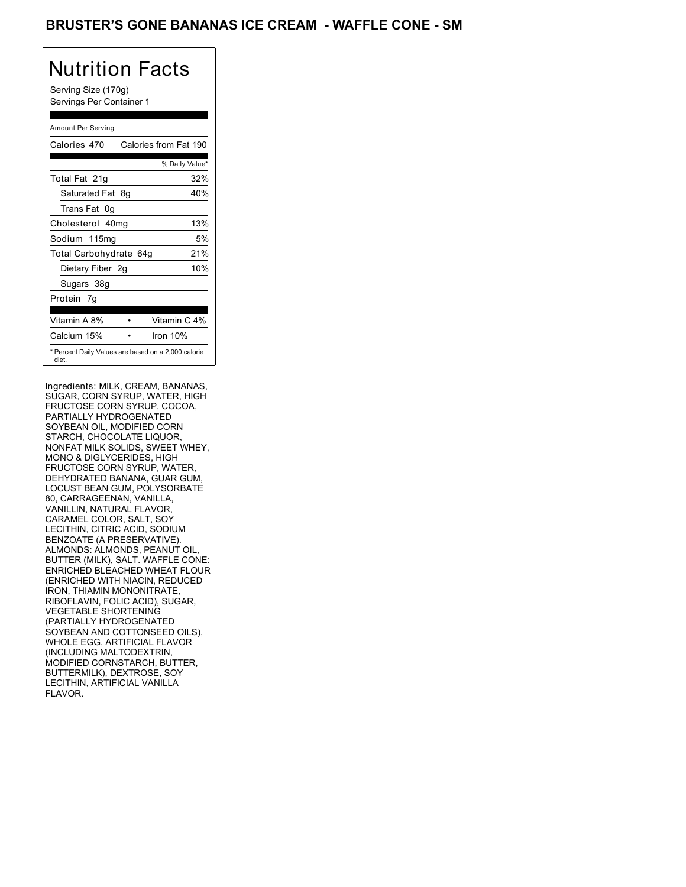### BRUSTER'S GONE BANANAS ICE CREAM - WAFFLE CONE - SM

## Nutrition Facts

Serving Size (170g) Servings Per Container 1

#### Amount Per Serving

| Calories 470                                                 |  | Calories from Fat 190 |
|--------------------------------------------------------------|--|-----------------------|
|                                                              |  | % Daily Value*        |
| Total Fat 21g                                                |  | 32%                   |
| Saturated Fat 8g                                             |  | 40%                   |
| Trans Fat 0g                                                 |  |                       |
| Cholesterol 40mg                                             |  | 13%                   |
| Sodium 115mg                                                 |  | 5%                    |
| Total Carbohydrate 64g                                       |  | 21%                   |
| Dietary Fiber 2g                                             |  | 10%                   |
| Sugars 38g                                                   |  |                       |
| Protein 7q                                                   |  |                       |
| Vitamin A 8%                                                 |  | Vitamin C 4%          |
| Calcium 15%                                                  |  | Iron $10%$            |
| * Percent Daily Values are based on a 2,000 calorie<br>diet. |  |                       |

Ingredients: MILK, CREAM, BANANAS, SUGAR, CORN SYRUP, WATER, HIGH FRUCTOSE CORN SYRUP, COCOA, PARTIALLY HYDROGENATED SOYBEAN OIL, MODIFIED CORN STARCH, CHOCOLATE LIQUOR, NONFAT MILK SOLIDS, SWEET WHEY, MONO & DIGLYCERIDES, HIGH FRUCTOSE CORN SYRUP, WATER, DEHYDRATED BANANA, GUAR GUM, LOCUST BEAN GUM, POLYSORBATE 80, CARRAGEENAN, VANILLA, VANILLIN, NATURAL FLAVOR, CARAMEL COLOR, SALT, SOY LECITHIN, CITRIC ACID, SODIUM BENZOATE (A PRESERVATIVE). ALMONDS: ALMONDS, PEANUT OIL, BUTTER (MILK), SALT. WAFFLE CONE: ENRICHED BLEACHED WHEAT FLOUR (ENRICHED WITH NIACIN, REDUCED IRON, THIAMIN MONONITRATE, RIBOFLAVIN, FOLIC ACID), SUGAR, VEGETABLE SHORTENING (PARTIALLY HYDROGENATED SOYBEAN AND COTTONSEED OILS), WHOLE EGG, ARTIFICIAL FLAVOR (INCLUDING MALTODEXTRIN, MODIFIED CORNSTARCH, BUTTER, BUTTERMILK), DEXTROSE, SOY LECITHIN, ARTIFICIAL VANILLA FLAVOR.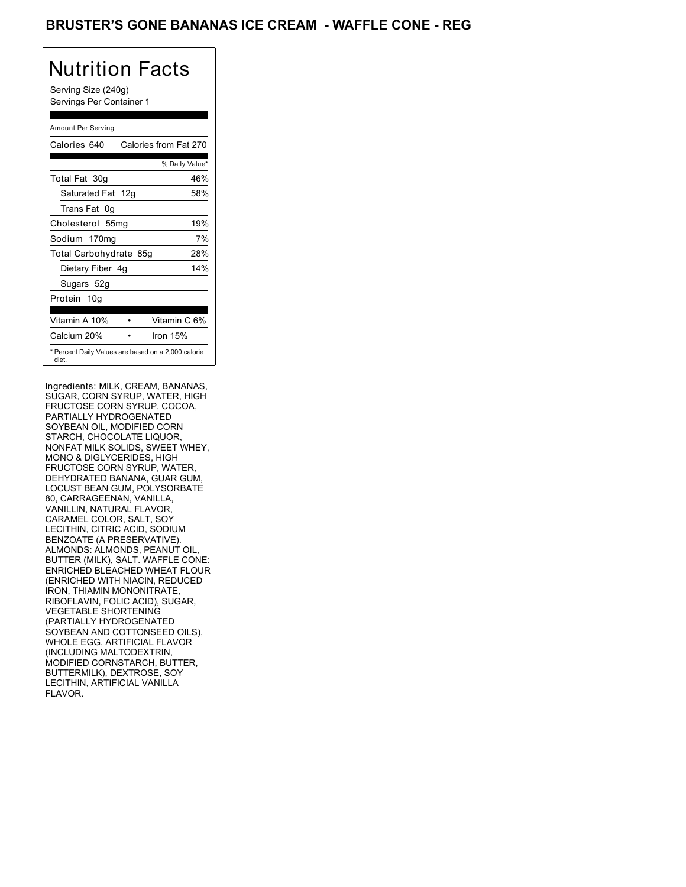### BRUSTER'S GONE BANANAS ICE CREAM - WAFFLE CONE - REG

## Nutrition Facts

Serving Size (240g) Servings Per Container 1

#### Amount Per Serving

| Calories 640           | Calories from Fat 270                               |
|------------------------|-----------------------------------------------------|
|                        | % Daily Value*                                      |
| Total Fat 30g          | 46%                                                 |
| Saturated Fat 12g      | 58%                                                 |
| Trans Fat 0q           |                                                     |
| Cholesterol 55mg       | 19%                                                 |
| Sodium 170mg           | 7%                                                  |
| Total Carbohydrate 85g | 28%                                                 |
| Dietary Fiber 4g       | 14%                                                 |
| Sugars 52g             |                                                     |
| Protein 10q            |                                                     |
| Vitamin A 10%          | Vitamin C 6%                                        |
| Calcium 20%            | Iron $15%$                                          |
| diet.                  | * Percent Daily Values are based on a 2,000 calorie |

Ingredients: MILK, CREAM, BANANAS, SUGAR, CORN SYRUP, WATER, HIGH FRUCTOSE CORN SYRUP, COCOA, PARTIALLY HYDROGENATED SOYBEAN OIL, MODIFIED CORN STARCH, CHOCOLATE LIQUOR, NONFAT MILK SOLIDS, SWEET WHEY, MONO & DIGLYCERIDES, HIGH FRUCTOSE CORN SYRUP, WATER, DEHYDRATED BANANA, GUAR GUM, LOCUST BEAN GUM, POLYSORBATE 80, CARRAGEENAN, VANILLA, VANILLIN, NATURAL FLAVOR, CARAMEL COLOR, SALT, SOY LECITHIN, CITRIC ACID, SODIUM BENZOATE (A PRESERVATIVE). ALMONDS: ALMONDS, PEANUT OIL, BUTTER (MILK), SALT. WAFFLE CONE: ENRICHED BLEACHED WHEAT FLOUR (ENRICHED WITH NIACIN, REDUCED IRON, THIAMIN MONONITRATE, RIBOFLAVIN, FOLIC ACID), SUGAR, VEGETABLE SHORTENING (PARTIALLY HYDROGENATED SOYBEAN AND COTTONSEED OILS), WHOLE EGG, ARTIFICIAL FLAVOR (INCLUDING MALTODEXTRIN, MODIFIED CORNSTARCH, BUTTER, BUTTERMILK), DEXTROSE, SOY LECITHIN, ARTIFICIAL VANILLA FLAVOR.